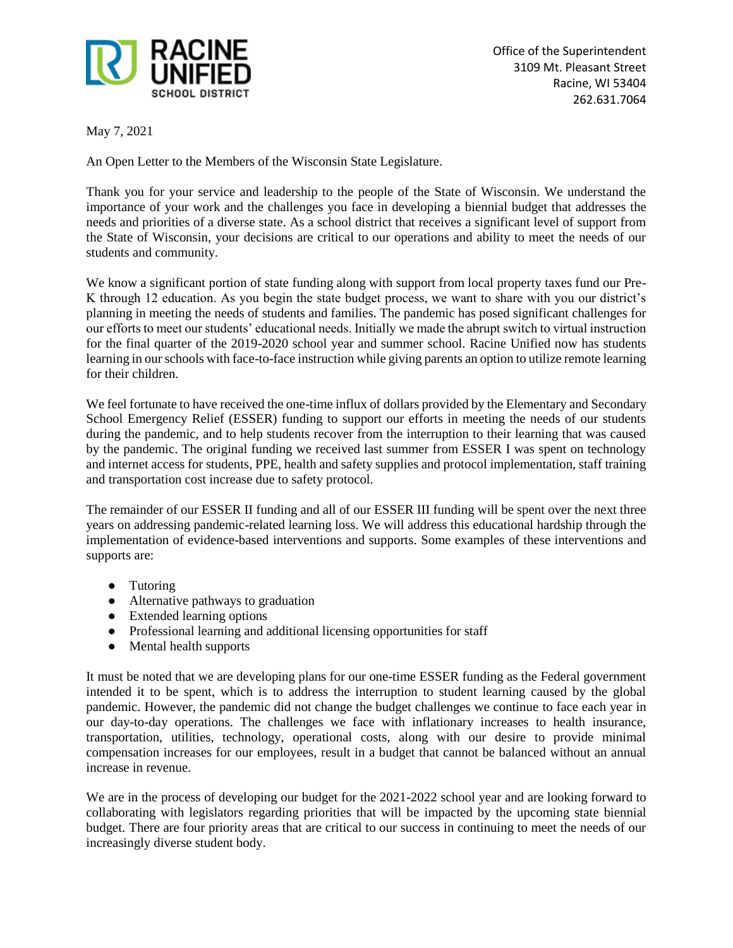

May 7, 2021

An Open Letter to the Members of the Wisconsin State Legislature.

Thank you for your service and leadership to the people of the State of Wisconsin. We understand the importance of your work and the challenges you face in developing a biennial budget that addresses the needs and priorities of a diverse state. As a school district that receives a significant level of support from the State of Wisconsin, your decisions are critical to our operations and ability to meet the needs of our students and community.

We know a significant portion of state funding along with support from local property taxes fund our Pre-K through 12 education. As you begin the state budget process, we want to share with you our district's planning in meeting the needs of students and families. The pandemic has posed significant challenges for our efforts to meet our students' educational needs. Initially we made the abrupt switch to virtual instruction for the final quarter of the 2019-2020 school year and summer school. Racine Unified now has students learning in our schools with face-to-face instruction while giving parents an option to utilize remote learning for their children.

We feel fortunate to have received the one-time influx of dollars provided by the Elementary and Secondary School Emergency Relief (ESSER) funding to support our efforts in meeting the needs of our students during the pandemic, and to help students recover from the interruption to their learning that was caused by the pandemic. The original funding we received last summer from ESSER I was spent on technology and internet access for students, PPE, health and safety supplies and protocol implementation, staff training and transportation cost increase due to safety protocol.

The remainder of our ESSER II funding and all of our ESSER III funding will be spent over the next three years on addressing pandemic-related learning loss. We will address this educational hardship through the implementation of evidence-based interventions and supports. Some examples of these interventions and supports are:

- Tutoring
- Alternative pathways to graduation
- Extended learning options
- Professional learning and additional licensing opportunities for staff
- Mental health supports

It must be noted that we are developing plans for our one-time ESSER funding as the Federal government intended it to be spent, which is to address the interruption to student learning caused by the global pandemic. However, the pandemic did not change the budget challenges we continue to face each year in our day-to-day operations. The challenges we face with inflationary increases to health insurance, transportation, utilities, technology, operational costs, along with our desire to provide minimal compensation increases for our employees, result in a budget that cannot be balanced without an annual increase in revenue.

We are in the process of developing our budget for the 2021-2022 school year and are looking forward to collaborating with legislators regarding priorities that will be impacted by the upcoming state biennial budget. There are four priority areas that are critical to our success in continuing to meet the needs of our increasingly diverse student body.